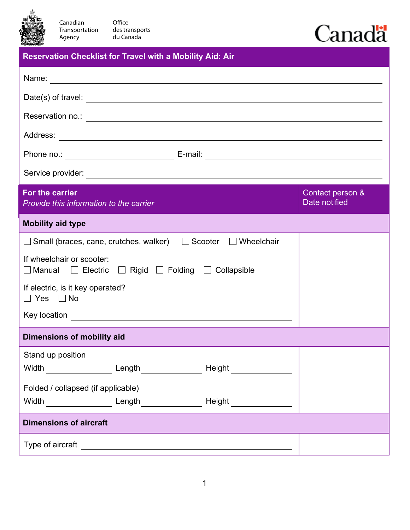

## Canadä

| Canadian<br>Office<br>Transportation<br>des transports<br>du Canada<br>Agency                             |                                   |  |  |
|-----------------------------------------------------------------------------------------------------------|-----------------------------------|--|--|
| <b>Reservation Checklist for Travel with a Mobility Aid: Air</b>                                          |                                   |  |  |
|                                                                                                           |                                   |  |  |
|                                                                                                           |                                   |  |  |
|                                                                                                           |                                   |  |  |
|                                                                                                           |                                   |  |  |
|                                                                                                           |                                   |  |  |
|                                                                                                           |                                   |  |  |
| For the carrier<br>Provide this information to the carrier                                                | Contact person &<br>Date notified |  |  |
| <b>Mobility aid type</b>                                                                                  |                                   |  |  |
| $\Box$ Small (braces, cane, crutches, walker) $\Box$ Scooter $\Box$ Wheelchair                            |                                   |  |  |
| If wheelchair or scooter:<br>$\Box$ Manual $\Box$ Electric $\Box$ Rigid $\Box$ Folding $\Box$ Collapsible |                                   |  |  |
| If electric, is it key operated?<br>Yes ∏No                                                               |                                   |  |  |
| Key location                                                                                              |                                   |  |  |

## **Dimensions of mobility aid**

| Stand up position                  |        |        |  |  |
|------------------------------------|--------|--------|--|--|
| Width                              | Length | Height |  |  |
| Folded / collapsed (if applicable) |        |        |  |  |
| Width                              | Length | Height |  |  |
| <b>Dimensions of aircraft</b>      |        |        |  |  |
| Type of aircraft                   |        |        |  |  |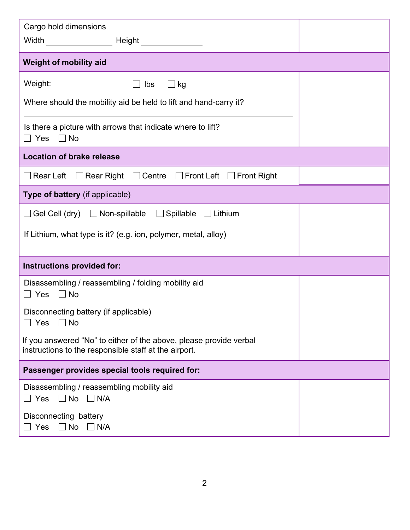| Cargo hold dimensions<br>Width                                                                                              |  |
|-----------------------------------------------------------------------------------------------------------------------------|--|
| <b>Weight of mobility aid</b>                                                                                               |  |
| Weight: ____________________<br>$\Box$ kg<br>$\Box$ lbs                                                                     |  |
| Where should the mobility aid be held to lift and hand-carry it?                                                            |  |
| Is there a picture with arrows that indicate where to lift?<br>$\Box$ No<br>□ Yes                                           |  |
| <b>Location of brake release</b>                                                                                            |  |
| $\Box$ Rear Right $\Box$ Centre $\Box$ Front Left $\Box$ Front Right<br>Rear Left                                           |  |
| Type of battery (if applicable)                                                                                             |  |
| $\Box$ Gel Cell (dry) $\Box$ Non-spillable $\Box$ Spillable $\Box$ Lithium                                                  |  |
| If Lithium, what type is it? (e.g. ion, polymer, metal, alloy)                                                              |  |
|                                                                                                                             |  |
| Instructions provided for:                                                                                                  |  |
| Disassembling / reassembling / folding mobility aid<br>$\Box$ No<br>$\Box$ Yes                                              |  |
| Disconnecting battery (if applicable)<br>$\Box$ No<br>Yes                                                                   |  |
| If you answered "No" to either of the above, please provide verbal<br>instructions to the responsible staff at the airport. |  |
| Passenger provides special tools required for:                                                                              |  |
| Disassembling / reassembling mobility aid<br>$\Box$ No<br>$\Box$ N/A<br>Yes                                                 |  |
| Disconnecting battery<br>$\Box$ No<br>$\exists$ Yes<br>$\Box$ N/A                                                           |  |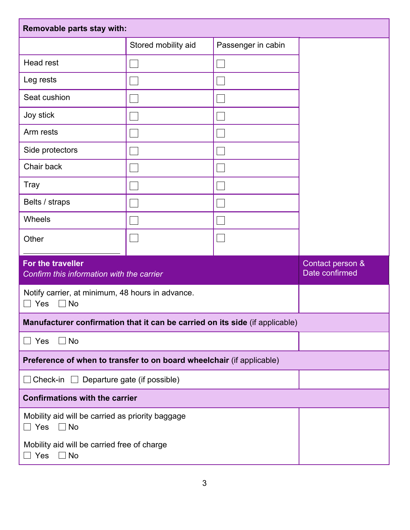| Removable parts stay with:                                                   |                     |                    |                                    |  |  |
|------------------------------------------------------------------------------|---------------------|--------------------|------------------------------------|--|--|
|                                                                              | Stored mobility aid | Passenger in cabin |                                    |  |  |
| <b>Head rest</b>                                                             |                     |                    |                                    |  |  |
| Leg rests                                                                    |                     |                    |                                    |  |  |
| Seat cushion                                                                 |                     |                    |                                    |  |  |
| Joy stick                                                                    |                     |                    |                                    |  |  |
| Arm rests                                                                    |                     |                    |                                    |  |  |
| Side protectors                                                              |                     |                    |                                    |  |  |
| Chair back                                                                   |                     |                    |                                    |  |  |
| <b>Tray</b>                                                                  |                     |                    |                                    |  |  |
| Belts / straps                                                               |                     |                    |                                    |  |  |
| Wheels                                                                       |                     |                    |                                    |  |  |
| Other                                                                        |                     |                    |                                    |  |  |
| For the traveller<br>Confirm this information with the carrier               |                     |                    | Contact person &<br>Date confirmed |  |  |
| Notify carrier, at minimum, 48 hours in advance.<br><b>No</b><br>Yes         |                     |                    |                                    |  |  |
| Manufacturer confirmation that it can be carried on its side (if applicable) |                     |                    |                                    |  |  |
| $\Box$ No<br>Yes<br>$\blacksquare$                                           |                     |                    |                                    |  |  |
| Preference of when to transfer to on board wheelchair (if applicable)        |                     |                    |                                    |  |  |
| Departure gate (if possible)<br>Check-in $\Box$                              |                     |                    |                                    |  |  |
| <b>Confirmations with the carrier</b>                                        |                     |                    |                                    |  |  |
| Mobility aid will be carried as priority baggage<br>$\Box$ Yes<br>$\Box$ No  |                     |                    |                                    |  |  |
| Mobility aid will be carried free of charge<br>Yes<br>$\Box$ No              |                     |                    |                                    |  |  |